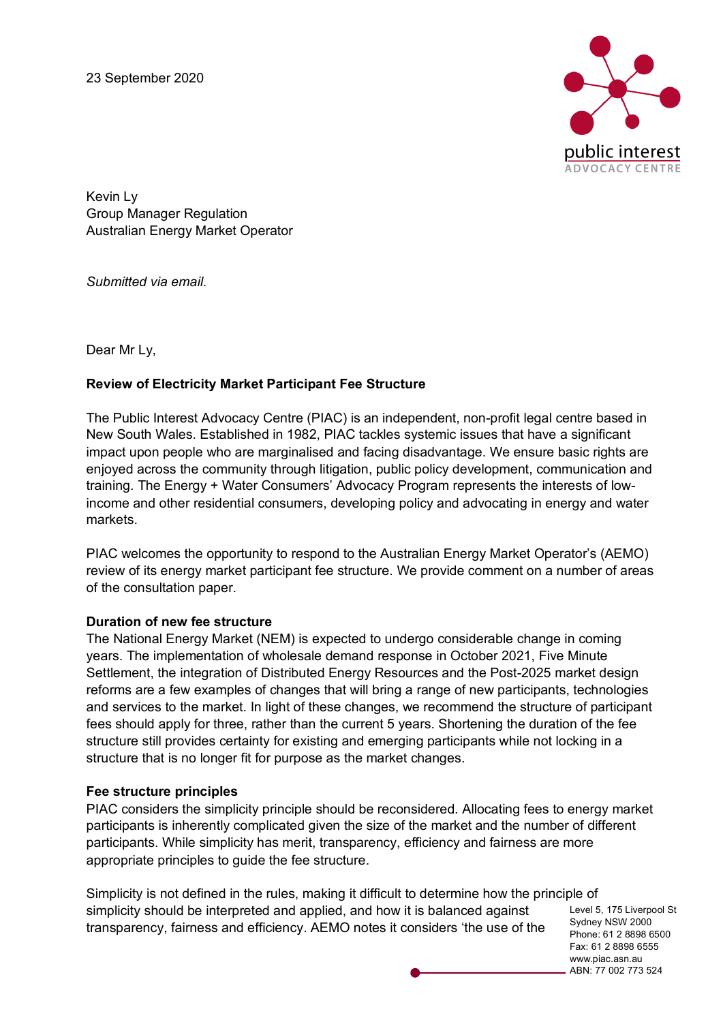23 September 2020



Kevin Ly Group Manager Regulation Australian Energy Market Operator

*Submitted via email.* 

Dear Mr Ly,

## **Review of Electricity Market Participant Fee Structure**

The Public Interest Advocacy Centre (PIAC) is an independent, non-profit legal centre based in New South Wales. Established in 1982, PIAC tackles systemic issues that have a significant impact upon people who are marginalised and facing disadvantage. We ensure basic rights are enjoyed across the community through litigation, public policy development, communication and training. The Energy + Water Consumers' Advocacy Program represents the interests of lowincome and other residential consumers, developing policy and advocating in energy and water markets.

PIAC welcomes the opportunity to respond to the Australian Energy Market Operator's (AEMO) review of its energy market participant fee structure. We provide comment on a number of areas of the consultation paper.

#### **Duration of new fee structure**

The National Energy Market (NEM) is expected to undergo considerable change in coming years. The implementation of wholesale demand response in October 2021, Five Minute Settlement, the integration of Distributed Energy Resources and the Post-2025 market design reforms are a few examples of changes that will bring a range of new participants, technologies and services to the market. In light of these changes, we recommend the structure of participant fees should apply for three, rather than the current 5 years. Shortening the duration of the fee structure still provides certainty for existing and emerging participants while not locking in a structure that is no longer fit for purpose as the market changes.

#### **Fee structure principles**

PIAC considers the simplicity principle should be reconsidered. Allocating fees to energy market participants is inherently complicated given the size of the market and the number of different participants. While simplicity has merit, transparency, efficiency and fairness are more appropriate principles to guide the fee structure.

Simplicity is not defined in the rules, making it difficult to determine how the principle of simplicity should be interpreted and applied, and how it is balanced against transparency, fairness and efficiency. AEMO notes it considers 'the use of the

Level 5, 175 Liverpool St Sydney NSW 2000 Phone: 61 2 8898 6500 Fax: 61 2 8898 6555 www.piac.asn.au ABN: 77 002 773 524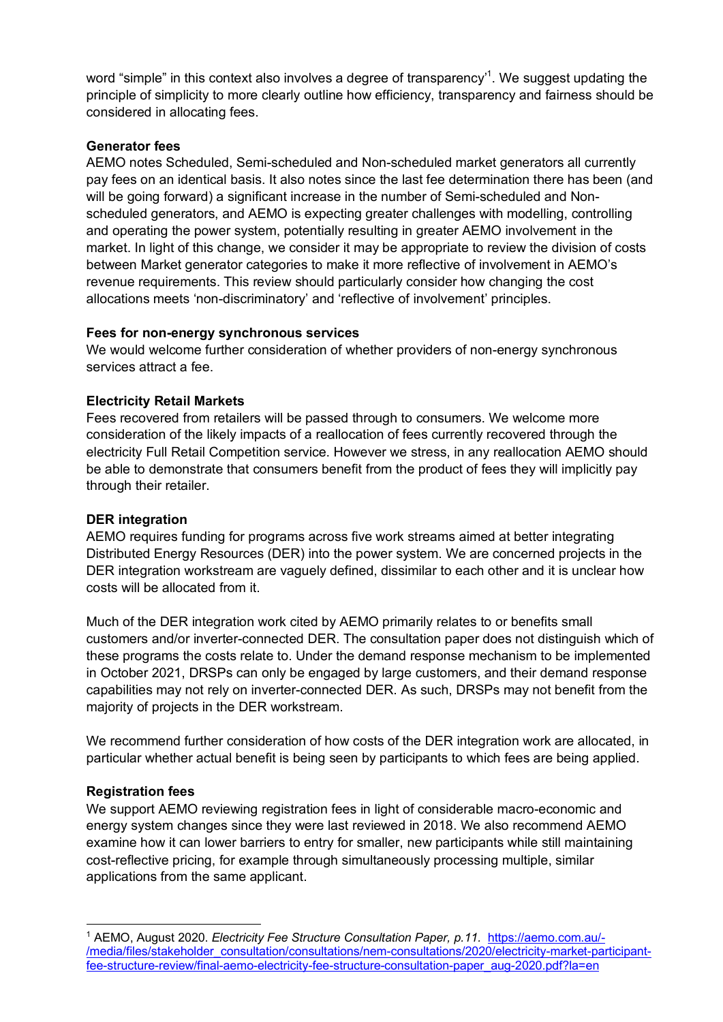word "simple" in this context also involves a degree of transparency'<sup>1</sup>. We suggest updating the principle of simplicity to more clearly outline how efficiency, transparency and fairness should be considered in allocating fees.

## **Generator fees**

AEMO notes Scheduled, Semi-scheduled and Non-scheduled market generators all currently pay fees on an identical basis. It also notes since the last fee determination there has been (and will be going forward) a significant increase in the number of Semi-scheduled and Nonscheduled generators, and AEMO is expecting greater challenges with modelling, controlling and operating the power system, potentially resulting in greater AEMO involvement in the market. In light of this change, we consider it may be appropriate to review the division of costs between Market generator categories to make it more reflective of involvement in AEMO's revenue requirements. This review should particularly consider how changing the cost allocations meets 'non-discriminatory' and 'reflective of involvement' principles.

## **Fees for non-energy synchronous services**

We would welcome further consideration of whether providers of non-energy synchronous services attract a fee.

## **Electricity Retail Markets**

Fees recovered from retailers will be passed through to consumers. We welcome more consideration of the likely impacts of a reallocation of fees currently recovered through the electricity Full Retail Competition service. However we stress, in any reallocation AEMO should be able to demonstrate that consumers benefit from the product of fees they will implicitly pay through their retailer.

#### **DER integration**

AEMO requires funding for programs across five work streams aimed at better integrating Distributed Energy Resources (DER) into the power system. We are concerned projects in the DER integration workstream are vaguely defined, dissimilar to each other and it is unclear how costs will be allocated from it.

Much of the DER integration work cited by AEMO primarily relates to or benefits small customers and/or inverter-connected DER. The consultation paper does not distinguish which of these programs the costs relate to. Under the demand response mechanism to be implemented in October 2021, DRSPs can only be engaged by large customers, and their demand response capabilities may not rely on inverter-connected DER. As such, DRSPs may not benefit from the majority of projects in the DER workstream.

We recommend further consideration of how costs of the DER integration work are allocated, in particular whether actual benefit is being seen by participants to which fees are being applied.

## **Registration fees**

We support AEMO reviewing registration fees in light of considerable macro-economic and energy system changes since they were last reviewed in 2018. We also recommend AEMO examine how it can lower barriers to entry for smaller, new participants while still maintaining cost-reflective pricing, for example through simultaneously processing multiple, similar applications from the same applicant.

 <sup>1</sup> AEMO, August 2020. *Electricity Fee Structure Consultation Paper, p.11.* https://aemo.com.au/- /media/files/stakeholder\_consultation/consultations/nem-consultations/2020/electricity-market-participantfee-structure-review/final-aemo-electricity-fee-structure-consultation-paper\_aug-2020.pdf?la=en